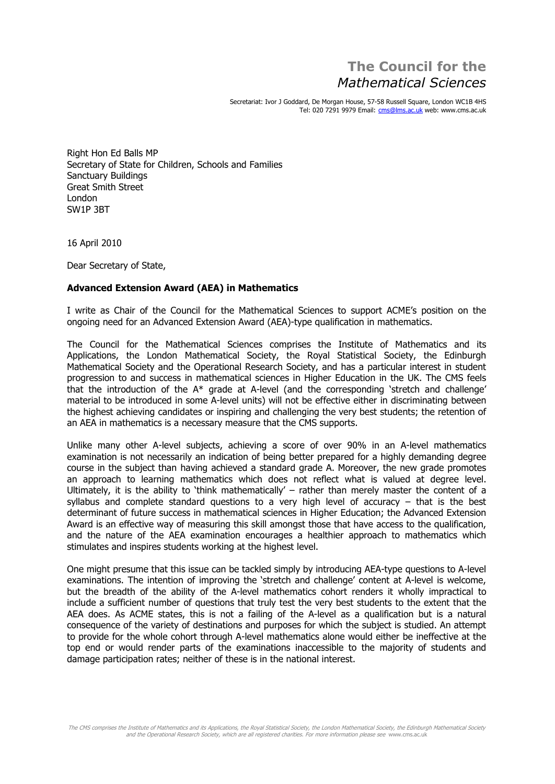## **The Council for the Mathematical Sciences**

Secretariat: Ivor J Goddard, De Morgan House, 57-58 Russell Square, London WC1B 4HS Tel: 020 7291 9979 Email: [cms@lms.ac.uk](mailto:cms@lms.ac.uk) web: [www.cms.ac.uk](http://www.cms.ac.uk)

Right Hon Ed Balls MP Secretary of State for Children, Schools and Families Sanctuary Buildings Great Smith Street LondonSW1P 3BT

16 April 2010

Dear Secretary of State,

## **Advanced Extension Award (AEA) in Mathematics**

I write as Chair of the Council for the Mathematical Sciences to support ACMEís position on the ongoing need for an Advanced Extension Award (AEA)-type qualification in mathematics.

The Council for the Mathematical Sciences comprises the Institute of Mathematics and its Applications, the London Mathematical Society, the Royal Statistical Society, the Edinburgh Mathematical Society and the Operational Research Society, and has a particular interest in student progression to and success in mathematical sciences in Higher Education in the UK. The CMS feels that the introduction of the A\* grade at A-level (and the corresponding 'stretch and challenge' material to be introduced in some A-level units) will not be effective either in discriminating between the highest achieving candidates or inspiring and challenging the very best students; the retention of an AEA in mathematics is a necessary measure that the CMS supports.

Unlike many other A-level subjects, achieving a score of over 90% in an A-level mathematics examination is not necessarily an indication of being better prepared for a highly demanding degree course in the subject than having achieved a standard grade A. Moreover, the new grade promotes an approach to learning mathematics which does not reflect what is valued at degree level. Ultimately, it is the ability to 'think mathematically' – rather than merely master the content of a syllabus and complete standard questions to a very high level of accuracy – that is the best determinant of future success in mathematical sciences in Higher Education; the Advanced Extension Award is an effective way of measuring this skill amongst those that have access to the qualification, and the nature of the AEA examination encourages a healthier approach to mathematics which stimulates and inspires students working at the highest level.

One might presume that this issue can be tackled simply by introducing AEA-type questions to A-level  $\alpha$  examinations. The intention of improving the stretch and challenge' content at A-level is welcome, but the breadth of the ability of the A-level mathematics cohort renders it wholly impractical to include a sufficient number of questions that truly test the very best students to the extent that the  $\,$ AEA does. As ACME states, this is not a failing of the A-level as a qualification but is a natural consequence of the variety of destinations and purposes for which the subject is studied. An attempt to provide for the whole cohort through A-level mathematics alone would either be ineffective at the top end or would render parts of the examinations inaccessible to the majority of students and damage participation rates; neither of these is in the national interest.